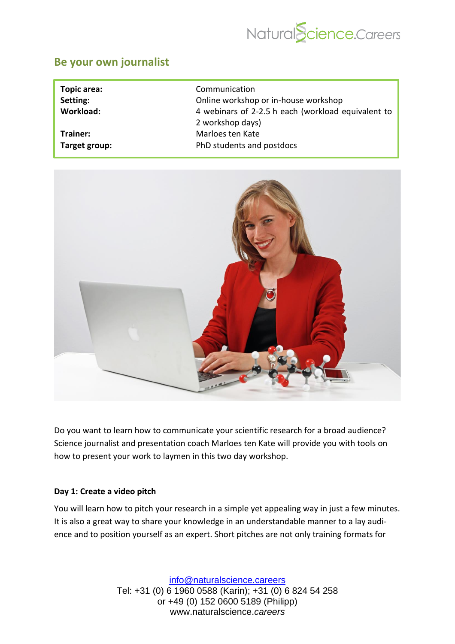

## **[Be your own journalist](https://academy.naturalscience.careers/course?courseid=navigating-social-media)**

| Topic area:      | Communication                                      |
|------------------|----------------------------------------------------|
| Setting:         | Online workshop or in-house workshop               |
| <b>Workload:</b> | 4 webinars of 2-2.5 h each (workload equivalent to |
|                  | 2 workshop days)                                   |
| Trainer:         | Marloes ten Kate                                   |
| Target group:    | PhD students and postdocs                          |



Do you want to learn how to communicate your scientific research for a broad audience? Science journalist and presentation coach Marloes ten Kate will provide you with tools on how to present your work to laymen in this two day workshop.

#### **Day 1: Create a video pitch**

You will learn how to pitch your research in a simple yet appealing way in just a few minutes. It is also a great way to share your knowledge in an understandable manner to a lay audience and to position yourself as an expert. Short pitches are not only training formats for

> [info@naturalscience.careers](mailto:academy@naturalscience.careers) Tel: +31 (0) 6 1960 0588 (Karin); +31 (0) 6 824 54 258 or +49 (0) 152 0600 5189 (Philipp) www.naturalscience.*careers*